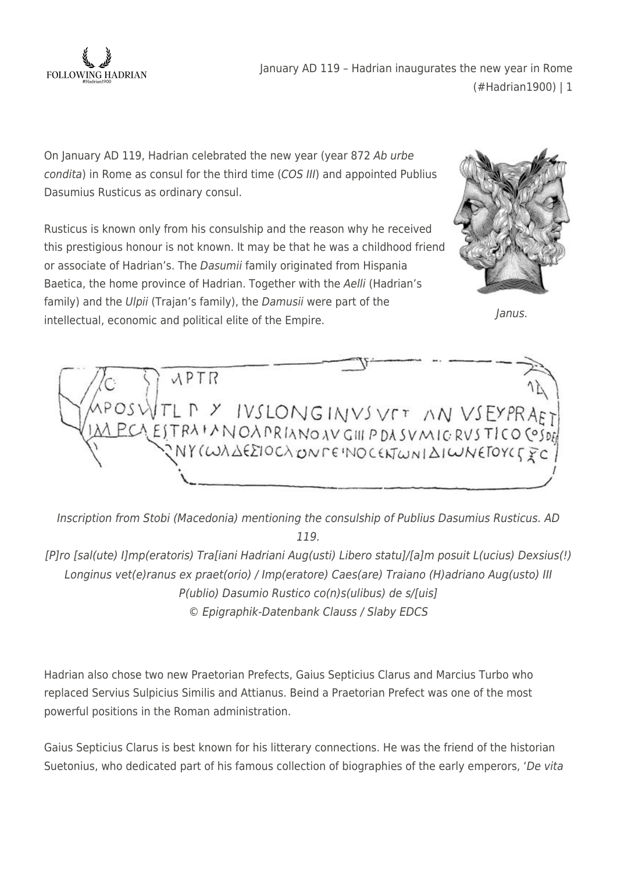

January AD 119 – Hadrian inaugurates the new year in Rome (#Hadrian1900) | 1

On January AD 119, Hadrian celebrated the new year (year 872 Ab urbe condita) in Rome as consul for the third time (COS III) and appointed Publius Dasumius Rusticus as ordinary consul.

Rusticus is known only from his consulship and the reason why he received this prestigious honour is not known. It may be that he was a childhood friend or associate of Hadrian's. The Dasumii family originated from Hispania Baetica, the home province of Hadrian. Together with the Aelli (Hadrian's family) and the Ulpii (Trajan's family), the Damusii were part of the intellectual, economic and political elite of the Empire.



Janus.



Inscription from Stobi (Macedonia) mentioning the consulship of Publius Dasumius Rusticus. AD 119.

[P]ro [sal(ute) I]mp(eratoris) Tra[iani Hadriani Aug(usti) Libero statu]/[a]m posuit L(ucius) Dexsius(!) Longinus vet(e)ranus ex praet(orio) / Imp(eratore) Caes(are) Traiano (H)adriano Aug(usto) III P(ublio) Dasumio Rustico co(n)s(ulibus) de s/[uis] © Epigraphik-Datenbank Clauss / Slaby EDCS

Hadrian also chose two new Praetorian Prefects, Gaius Septicius Clarus and Marcius Turbo who replaced Servius Sulpicius Similis and Attianus. Beind a Praetorian Prefect was one of the most powerful positions in the Roman administration.

Gaius Septicius Clarus is best known for his litterary connections. He was the friend of the historian Suetonius, who dedicated part of his famous collection of biographies of the early emperors, 'De vita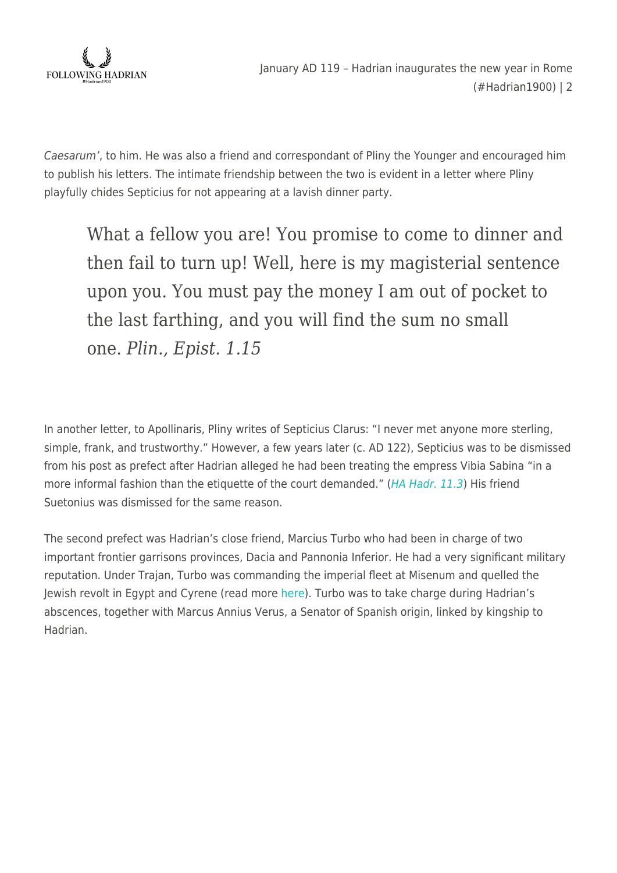

Caesarum', to him. He was also a friend and correspondant of Pliny the Younger and encouraged him to publish his letters. The intimate friendship between the two is evident in a letter where Pliny playfully chides Septicius for not appearing at a lavish dinner party.

What a fellow you are! You promise to come to dinner and then fail to turn up! Well, here is my magisterial sentence upon you. You must pay the money I am out of pocket to the last farthing, and you will find the sum no small one. *Plin., Epist. 1.15*

In another letter, to Apollinaris, Pliny writes of Septicius Clarus: "I never met anyone more sterling, simple, frank, and trustworthy." However, a few years later (c. AD 122), Septicius was to be dismissed from his post as prefect after Hadrian alleged he had been treating the empress Vibia Sabina "in a more informal fashion than the etiquette of the court demanded." ([HA Hadr. 11.3](http://penelope.uchicago.edu/Thayer/E/Roman/Texts/Historia_Augusta/Hadrian/1*.html#11.3)) His friend Suetonius was dismissed for the same reason.

The second prefect was Hadrian's close friend, Marcius Turbo who had been in charge of two important frontier garrisons provinces, Dacia and Pannonia Inferior. He had a very significant military reputation. Under Trajan, Turbo was commanding the imperial fleet at Misenum and quelled the Jewish revolt in Egypt and Cyrene (read more [here\)](https://followinghadrian.com/2018/11/05/the-rebuilding-of-cyrene-by-hadrian-in-ad-118-9-hadrian1900/). Turbo was to take charge during Hadrian's abscences, together with Marcus Annius Verus, a Senator of Spanish origin, linked by kingship to Hadrian.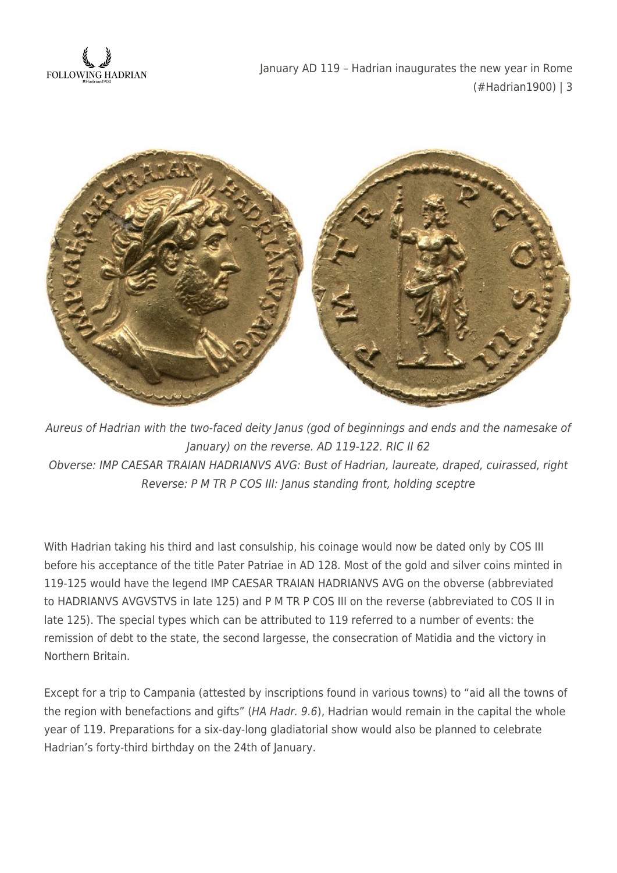

January AD 119 – Hadrian inaugurates the new year in Rome (#Hadrian1900) | 3



Aureus of Hadrian with the two-faced deity Janus (god of beginnings and ends and the namesake of January) on the reverse. AD 119-122. RIC II 62 Obverse: IMP CAESAR TRAIAN HADRIANVS AVG: Bust of Hadrian, laureate, draped, cuirassed, right Reverse: P M TR P COS III: Janus standing front, holding sceptre

With Hadrian taking his third and last consulship, his coinage would now be dated only by COS III before his acceptance of the title Pater Patriae in AD 128. Most of the gold and silver coins minted in 119-125 would have the legend IMP CAESAR TRAIAN HADRIANVS AVG on the obverse (abbreviated to HADRIANVS AVGVSTVS in late 125) and P M TR P COS III on the reverse (abbreviated to COS II in late 125). The special types which can be attributed to 119 referred to a number of events: the remission of debt to the state, the second largesse, the consecration of Matidia and the victory in Northern Britain.

Except for a trip to Campania (attested by inscriptions found in various towns) to "aid all the towns of the region with benefactions and gifts" (HA Hadr. 9.6), Hadrian would remain in the capital the whole year of 119. Preparations for a six-day-long gladiatorial show would also be planned to celebrate Hadrian's forty-third birthday on the 24th of January.